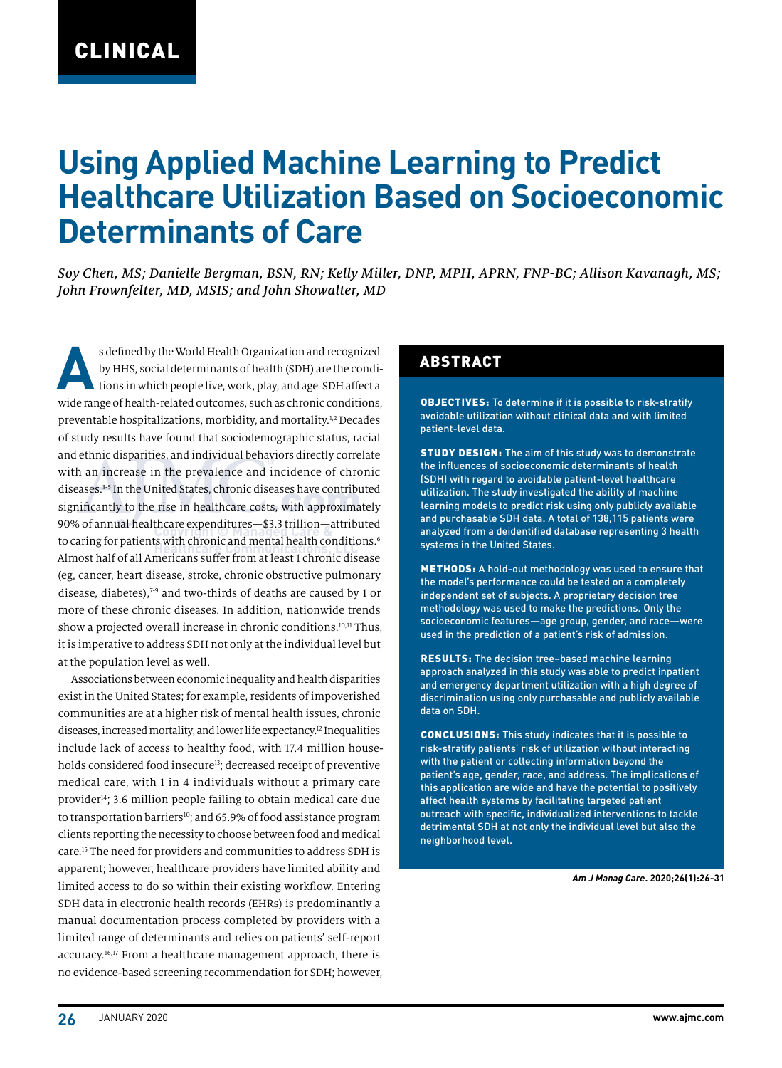# **Using Applied Machine Learning to Predict Healthcare Utilization Based on Socioeconomic Determinants of Care**

*Soy Chen, MS; Danielle Bergman, BSN, RN; Kelly Miller, DNP, MPH, APRN, FNP-BC; Allison Kavanagh, MS; John Frownfelter, MD, MSIS; and John Showalter, MD*

s defined by the World Health Organization and recognized<br>by HHS, social determinants of health (SDH) are the condi-<br>tions in which people live, work, play, and age. SDH affect a by HHS, social determinants of health (SDH) are the conditions in which people live, work, play, and age. SDH affect a wide range of health-related outcomes, such as chronic conditions, preventable hospitalizations, morbidity, and mortality.1,2 Decades of study results have found that sociodemographic status, racial and ethnic disparities, and individual behaviors directly correlate with an increase in the prevalence and incidence of chronic diseases.3-5 In the United States, chronic diseases have contributed significantly to the rise in healthcare costs, with approximately 90% of annual healthcare expenditures—\$3.3 trillion—attributed to caring for patients with chronic and mental health conditions.<sup>6</sup> Almost half of all Americans suffer from at least 1 chronic disease (eg, cancer, heart disease, stroke, chronic obstructive pulmonary disease, diabetes),7-9 and two-thirds of deaths are caused by 1 or more of these chronic diseases. In addition, nationwide trends show a projected overall increase in chronic conditions.<sup>10,11</sup> Thus, it is imperative to address SDH not only at the individual level but at the population level as well.

Associations between economic inequality and health disparities exist in the United States; for example, residents of impoverished communities are at a higher risk of mental health issues, chronic diseases, increased mortality, and lower life expectancy.12 Inequalities include lack of access to healthy food, with 17.4 million households considered food insecure<sup>13</sup>; decreased receipt of preventive medical care, with 1 in 4 individuals without a primary care provider<sup>14</sup>; 3.6 million people failing to obtain medical care due to transportation barriers<sup>10</sup>; and 65.9% of food assistance program clients reporting the necessity to choose between food and medical care.15 The need for providers and communities to address SDH is apparent; however, healthcare providers have limited ability and limited access to do so within their existing workflow. Entering SDH data in electronic health records (EHRs) is predominantly a manual documentation process completed by providers with a limited range of determinants and relies on patients' self-report accuracy.16,17 From a healthcare management approach, there is no evidence-based screening recommendation for SDH; however,

### ABSTRACT

OBJECTIVES: To determine if it is possible to risk-stratify avoidable utilization without clinical data and with limited patient-level data.

STUDY DESIGN: The aim of this study was to demonstrate the influences of socioeconomic determinants of health (SDH) with regard to avoidable patient-level healthcare utilization. The study investigated the ability of machine learning models to predict risk using only publicly available and purchasable SDH data. A total of 138,115 patients were analyzed from a deidentified database representing 3 health systems in the United States.

METHODS: A hold-out methodology was used to ensure that the model's performance could be tested on a completely independent set of subjects. A proprietary decision tree methodology was used to make the predictions. Only the socioeconomic features—age group, gender, and race—were used in the prediction of a patient's risk of admission.

RESULTS: The decision tree–based machine learning approach analyzed in this study was able to predict inpatient and emergency department utilization with a high degree of discrimination using only purchasable and publicly available data on SDH.

CONCLUSIONS: This study indicates that it is possible to risk-stratify patients' risk of utilization without interacting with the patient or collecting information beyond the patient's age, gender, race, and address. The implications of this application are wide and have the potential to positively affect health systems by facilitating targeted patient outreach with specific, individualized interventions to tackle detrimental SDH at not only the individual level but also the neighborhood level.

*Am J Manag Care***. 2020;26(1):26-31**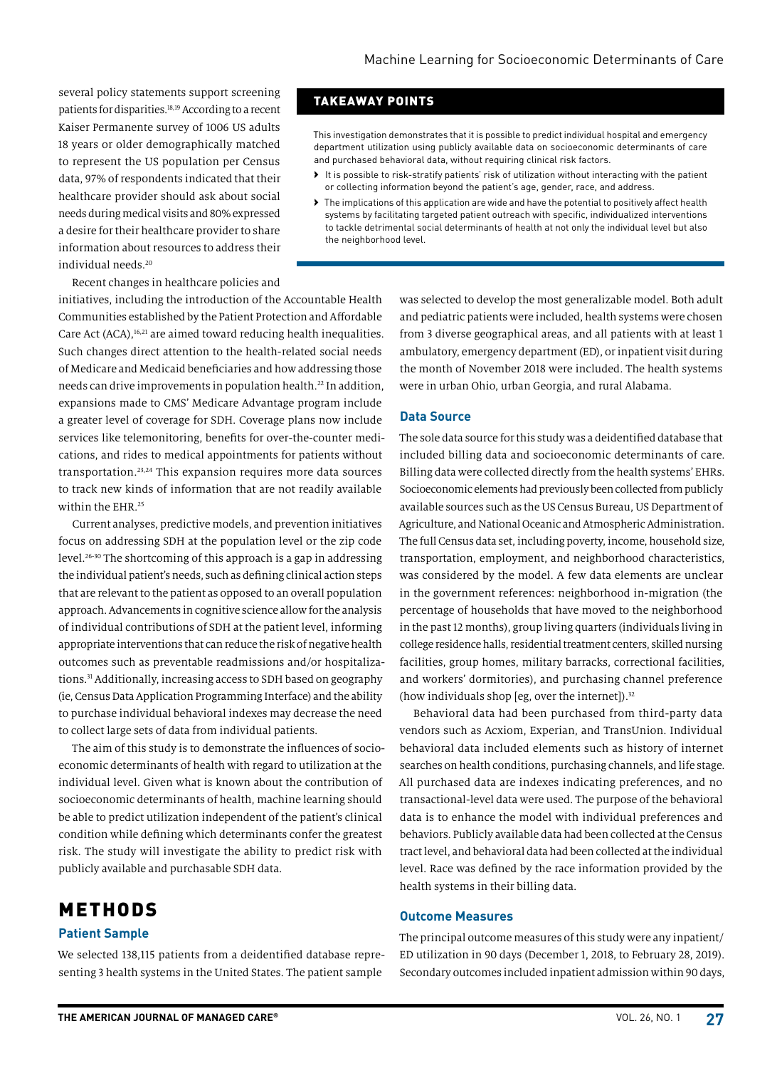several policy statements support screening patients for disparities.18,19 According to a recent Kaiser Permanente survey of 1006 US adults 18 years or older demographically matched to represent the US population per Census data, 97% of respondents indicated that their healthcare provider should ask about social needs during medical visits and 80% expressed a desire for their healthcare provider to share information about resources to address their individual needs.20

Recent changes in healthcare policies and

initiatives, including the introduction of the Accountable Health Communities established by the Patient Protection and Affordable Care Act (ACA),<sup>16,21</sup> are aimed toward reducing health inequalities. Such changes direct attention to the health-related social needs of Medicare and Medicaid beneficiaries and how addressing those needs can drive improvements in population health.<sup>22</sup> In addition, expansions made to CMS' Medicare Advantage program include a greater level of coverage for SDH. Coverage plans now include services like telemonitoring, benefits for over-the-counter medications, and rides to medical appointments for patients without transportation.23,24 This expansion requires more data sources to track new kinds of information that are not readily available within the EHR.<sup>25</sup>

Current analyses, predictive models, and prevention initiatives focus on addressing SDH at the population level or the zip code level.26-30 The shortcoming of this approach is a gap in addressing the individual patient's needs, such as defining clinical action steps that are relevant to the patient as opposed to an overall population approach. Advancements in cognitive science allow for the analysis of individual contributions of SDH at the patient level, informing appropriate interventions that can reduce the risk of negative health outcomes such as preventable readmissions and/or hospitalizations.31 Additionally, increasing access to SDH based on geography (ie, Census Data Application Programming Interface) and the ability to purchase individual behavioral indexes may decrease the need to collect large sets of data from individual patients.

The aim of this study is to demonstrate the influences of socioeconomic determinants of health with regard to utilization at the individual level. Given what is known about the contribution of socioeconomic determinants of health, machine learning should be able to predict utilization independent of the patient's clinical condition while defining which determinants confer the greatest risk. The study will investigate the ability to predict risk with publicly available and purchasable SDH data.

## METHODS

#### **Patient Sample**

We selected 138,115 patients from a deidentified database representing 3 health systems in the United States. The patient sample

### TAKEAWAY POINTS

This investigation demonstrates that it is possible to predict individual hospital and emergency department utilization using publicly available data on socioeconomic determinants of care and purchased behavioral data, without requiring clinical risk factors.

- › It is possible to risk-stratify patients' risk of utilization without interacting with the patient or collecting information beyond the patient's age, gender, race, and address.
- › The implications of this application are wide and have the potential to positively affect health systems by facilitating targeted patient outreach with specific, individualized interventions to tackle detrimental social determinants of health at not only the individual level but also the neighborhood level.

was selected to develop the most generalizable model. Both adult and pediatric patients were included, health systems were chosen from 3 diverse geographical areas, and all patients with at least 1 ambulatory, emergency department (ED), or inpatient visit during the month of November 2018 were included. The health systems were in urban Ohio, urban Georgia, and rural Alabama.

#### **Data Source**

The sole data source for this study was a deidentified database that included billing data and socioeconomic determinants of care. Billing data were collected directly from the health systems' EHRs. Socioeconomic elements had previously been collected from publicly available sources such as the US Census Bureau, US Department of Agriculture, and National Oceanic and Atmospheric Administration. The full Census data set, including poverty, income, household size, transportation, employment, and neighborhood characteristics, was considered by the model. A few data elements are unclear in the government references: neighborhood in-migration (the percentage of households that have moved to the neighborhood in the past 12 months), group living quarters (individuals living in college residence halls, residential treatment centers, skilled nursing facilities, group homes, military barracks, correctional facilities, and workers' dormitories), and purchasing channel preference (how individuals shop [eg, over the internet]). $32$ 

Behavioral data had been purchased from third-party data vendors such as Acxiom, Experian, and TransUnion. Individual behavioral data included elements such as history of internet searches on health conditions, purchasing channels, and life stage. All purchased data are indexes indicating preferences, and no transactional-level data were used. The purpose of the behavioral data is to enhance the model with individual preferences and behaviors. Publicly available data had been collected at the Census tract level, and behavioral data had been collected at the individual level. Race was defined by the race information provided by the health systems in their billing data.

#### **Outcome Measures**

The principal outcome measures of this study were any inpatient/ ED utilization in 90 days (December 1, 2018, to February 28, 2019). Secondary outcomes included inpatient admission within 90 days,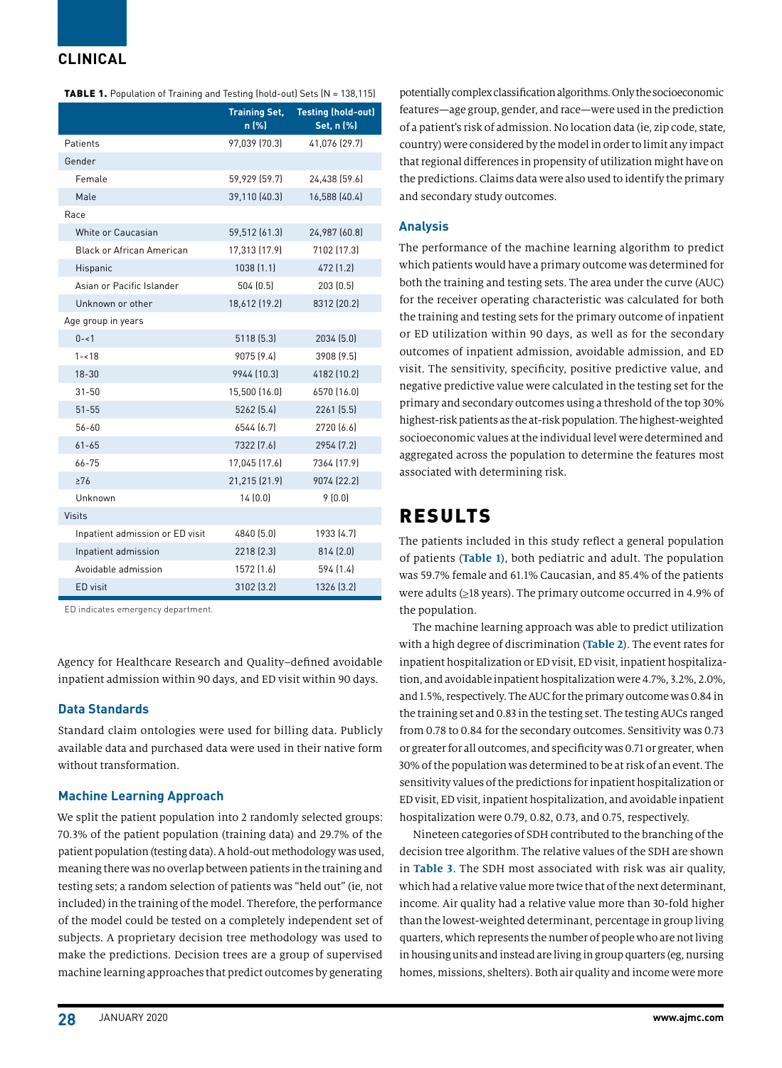### **CLINICAL**

| TABLE 1. Population of Training and Testing (hold-out) Sets (N = 138,115) |  |
|---------------------------------------------------------------------------|--|
|---------------------------------------------------------------------------|--|

|                                  | <b>Training Set,</b><br>n (%) | <b>Testing (hold-out)</b><br>Set, n (%) |
|----------------------------------|-------------------------------|-----------------------------------------|
| Patients                         | 97,039 [70.3]                 | 41,076 (29.7)                           |
| Gender                           |                               |                                         |
| Female                           | 59,929 (59.7)                 | 24,438 (59.6)                           |
| Male                             | 39,110 (40.3)                 | 16,588 (40.4)                           |
| Race                             |                               |                                         |
| White or Caucasian               | 59,512 (61.3)                 | 24,987 [60.8]                           |
| <b>Black or African American</b> | 17,313 (17.9)                 | 7102 [17.3]                             |
| Hispanic                         | 1038 [1.1]                    | 472 [1.2]                               |
| Asian or Pacific Islander        | 504 (0.5)                     | 203 (0.5)                               |
| Unknown or other                 | 18,612 (19.2)                 | 8312 [20.2]                             |
| Age group in years               |                               |                                         |
| $0 - 1$                          | 5118 (5.3)                    | 2034 (5.0)                              |
| $1 - 18$                         | 9075 [9.4]                    | 3908 [9.5]                              |
| $18 - 30$                        | 9944 [10.3]                   | 4182 (10.2)                             |
| $31 - 50$                        | 15,500 (16.0)                 | 6570 [16.0]                             |
| $51 - 55$                        | 5262 (5.4)                    | 2261 [5.5]                              |
| 56-60                            | 6544 [6.7]                    | 2720 [6.6]                              |
| $61 - 65$                        | 7322 [7.6]                    | 2954 [7.2]                              |
| 66-75                            | 17.045 (17.6)                 | 7364 [17.9]                             |
| $\geq 76$                        | 21,215 (21.9)                 | 9074 (22.2)                             |
| Unknown                          | 14(0.0)                       | 9(0.0)                                  |
| Visits                           |                               |                                         |
| Inpatient admission or ED visit  | 4840 [5.0]                    | 1933 (4.7)                              |
| Inpatient admission              | 2218 [2.3]                    | 814 (2.0)                               |
| Avoidable admission              | 1572 [1.6]                    | 594 (1.4)                               |
| ED visit                         | 3102 (3.2)                    | 1326 [3.2]                              |

ED indicates emergency department.

Agency for Healthcare Research and Quality–defined avoidable inpatient admission within 90 days, and ED visit within 90 days.

#### **Data Standards**

Standard claim ontologies were used for billing data. Publicly available data and purchased data were used in their native form without transformation.

#### **Machine Learning Approach**

We split the patient population into 2 randomly selected groups: 70.3% of the patient population (training data) and 29.7% of the patient population (testing data). A hold-out methodology was used, meaning there was no overlap between patients in the training and testing sets; a random selection of patients was "held out" (ie, not included) in the training of the model. Therefore, the performance of the model could be tested on a completely independent set of subjects. A proprietary decision tree methodology was used to make the predictions. Decision trees are a group of supervised machine learning approaches that predict outcomes by generating

potentially complex classification algorithms. Only the socioeconomic features—age group, gender, and race—were used in the prediction of a patient's risk of admission. No location data (ie, zip code, state, country) were considered by the model in order to limit any impact that regional differences in propensity of utilization might have on the predictions. Claims data were also used to identify the primary and secondary study outcomes.

#### **Analysis**

The performance of the machine learning algorithm to predict which patients would have a primary outcome was determined for both the training and testing sets. The area under the curve (AUC) for the receiver operating characteristic was calculated for both the training and testing sets for the primary outcome of inpatient or ED utilization within 90 days, as well as for the secondary outcomes of inpatient admission, avoidable admission, and ED visit. The sensitivity, specificity, positive predictive value, and negative predictive value were calculated in the testing set for the primary and secondary outcomes using a threshold of the top 30% highest-risk patients as the at-risk population. The highest-weighted socioeconomic values at the individual level were determined and aggregated across the population to determine the features most associated with determining risk.

# RESULTS

The patients included in this study reflect a general population of patients (**Table 1**), both pediatric and adult. The population was 59.7% female and 61.1% Caucasian, and 85.4% of the patients were adults (≥18 years). The primary outcome occurred in 4.9% of the population.

The machine learning approach was able to predict utilization with a high degree of discrimination (**Table 2**). The event rates for inpatient hospitalization or ED visit, ED visit, inpatient hospitalization, and avoidable inpatient hospitalization were 4.7%, 3.2%, 2.0%, and 1.5%, respectively. The AUC for the primary outcome was 0.84 in the training set and 0.83 in the testing set. The testing AUCs ranged from 0.78 to 0.84 for the secondary outcomes. Sensitivity was 0.73 or greater for all outcomes, and specificity was 0.71 or greater, when 30% of the population was determined to be at risk of an event. The sensitivity values of the predictions for inpatient hospitalization or ED visit, ED visit, inpatient hospitalization, and avoidable inpatient hospitalization were 0.79, 0.82, 0.73, and 0.75, respectively.

Nineteen categories of SDH contributed to the branching of the decision tree algorithm. The relative values of the SDH are shown in **Table 3**. The SDH most associated with risk was air quality, which had a relative value more twice that of the next determinant, income. Air quality had a relative value more than 30-fold higher than the lowest-weighted determinant, percentage in group living quarters, which represents the number of people who are not living in housing units and instead are living in group quarters (eg, nursing homes, missions, shelters). Both air quality and income were more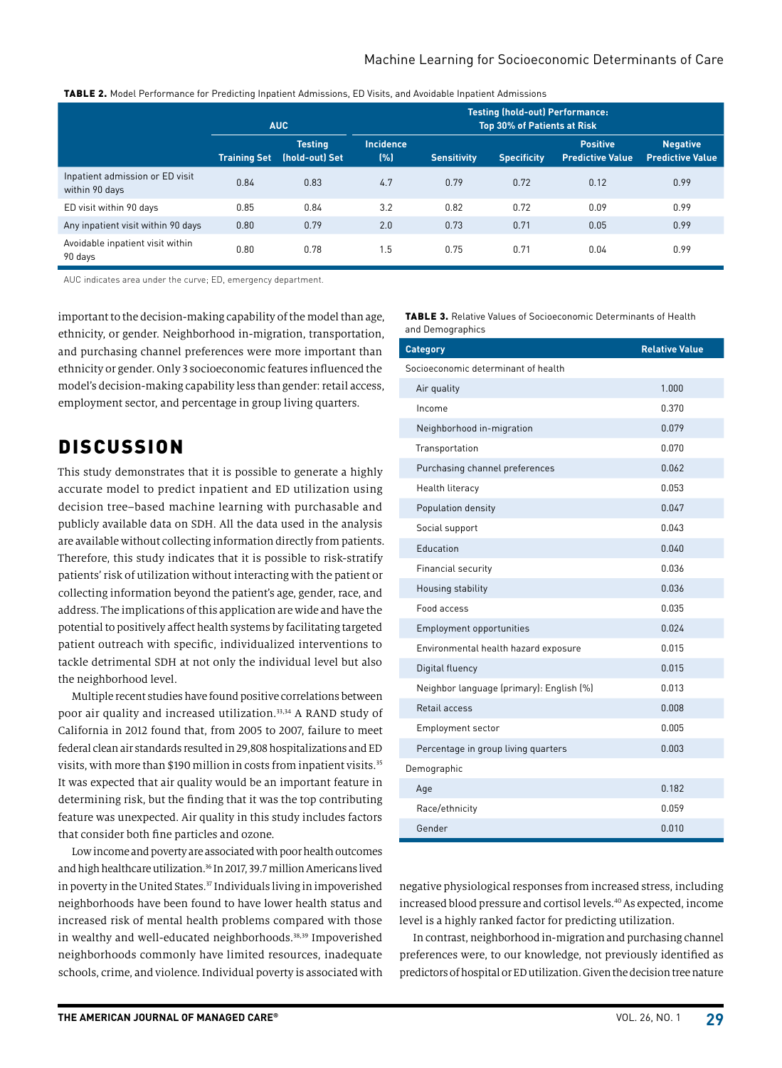### Machine Learning for Socioeconomic Determinants of Care

|                                                   | <b>AUC</b>          |                                  |                          | <b>Testing (hold-out) Performance:</b><br><b>Top 30% of Patients at Risk</b> |                    |                                            |                                            |
|---------------------------------------------------|---------------------|----------------------------------|--------------------------|------------------------------------------------------------------------------|--------------------|--------------------------------------------|--------------------------------------------|
|                                                   | <b>Training Set</b> | <b>Testing</b><br>(hold-out) Set | <b>Incidence</b><br>(% ) | <b>Sensitivity</b>                                                           | <b>Specificity</b> | <b>Positive</b><br><b>Predictive Value</b> | <b>Negative</b><br><b>Predictive Value</b> |
| Inpatient admission or ED visit<br>within 90 days | 0.84                | 0.83                             | 4.7                      | 0.79                                                                         | 0.72               | 0.12                                       | 0.99                                       |
| ED visit within 90 days                           | 0.85                | 0.84                             | 3.2                      | 0.82                                                                         | 0.72               | 0.09                                       | 0.99                                       |
| Any inpatient visit within 90 days                | 0.80                | 0.79                             | 2.0                      | 0.73                                                                         | 0.71               | 0.05                                       | 0.99                                       |
| Avoidable inpatient visit within<br>90 days       | 0.80                | 0.78                             | 1.5                      | 0.75                                                                         | 0.71               | 0.04                                       | 0.99                                       |

AUC indicates area under the curve; ED, emergency department.

important to the decision-making capability of the model than age, ethnicity, or gender. Neighborhood in-migration, transportation, and purchasing channel preferences were more important than ethnicity or gender. Only 3 socioeconomic features influenced the model's decision-making capability less than gender: retail access, employment sector, and percentage in group living quarters.

# **DISCUSSION**

This study demonstrates that it is possible to generate a highly accurate model to predict inpatient and ED utilization using decision tree–based machine learning with purchasable and publicly available data on SDH. All the data used in the analysis are available without collecting information directly from patients. Therefore, this study indicates that it is possible to risk-stratify patients' risk of utilization without interacting with the patient or collecting information beyond the patient's age, gender, race, and address. The implications of this application are wide and have the potential to positively affect health systems by facilitating targeted patient outreach with specific, individualized interventions to tackle detrimental SDH at not only the individual level but also the neighborhood level.

Multiple recent studies have found positive correlations between poor air quality and increased utilization.<sup>33,34</sup> A RAND study of California in 2012 found that, from 2005 to 2007, failure to meet federal clean air standards resulted in 29,808 hospitalizations and ED visits, with more than \$190 million in costs from inpatient visits.<sup>35</sup> It was expected that air quality would be an important feature in determining risk, but the finding that it was the top contributing feature was unexpected. Air quality in this study includes factors that consider both fine particles and ozone.

Low income and poverty are associated with poor health outcomes and high healthcare utilization.<sup>36</sup> In 2017, 39.7 million Americans lived in poverty in the United States.<sup>37</sup> Individuals living in impoverished neighborhoods have been found to have lower health status and increased risk of mental health problems compared with those in wealthy and well-educated neighborhoods.<sup>38,39</sup> Impoverished neighborhoods commonly have limited resources, inadequate schools, crime, and violence. Individual poverty is associated with

| <b>TABLE 3.</b> Relative Values of Socioeconomic Determinants of Health |
|-------------------------------------------------------------------------|
| and Demographics                                                        |

| <b>Category</b>                          | <b>Relative Value</b> |
|------------------------------------------|-----------------------|
| Socioeconomic determinant of health      |                       |
| Air quality                              | 1.000                 |
| Income                                   | 0.370                 |
| Neighborhood in-migration                | 0.079                 |
| Transportation                           | 0.070                 |
| Purchasing channel preferences           | 0.062                 |
| Health literacy                          | 0.053                 |
| Population density                       | 0.047                 |
| Social support                           | 0.043                 |
| Education                                | 0.040                 |
| Financial security                       | 0.036                 |
| Housing stability                        | 0.036                 |
| Food access                              | 0.035                 |
| Employment opportunities                 | 0.024                 |
| Environmental health hazard exposure     | 0.015                 |
| Digital fluency                          | 0.015                 |
| Neighbor language (primary): English (%) | 0.013                 |
| Retail access                            | 0.008                 |
| <b>Employment sector</b>                 | 0.005                 |
| Percentage in group living quarters      | 0.003                 |
| Demographic                              |                       |
| Age                                      | 0.182                 |
| Race/ethnicity                           | 0.059                 |
| Gender                                   | 0.010                 |

negative physiological responses from increased stress, including increased blood pressure and cortisol levels.40 As expected, income level is a highly ranked factor for predicting utilization.

In contrast, neighborhood in-migration and purchasing channel preferences were, to our knowledge, not previously identified as predictors of hospital or ED utilization. Given the decision tree nature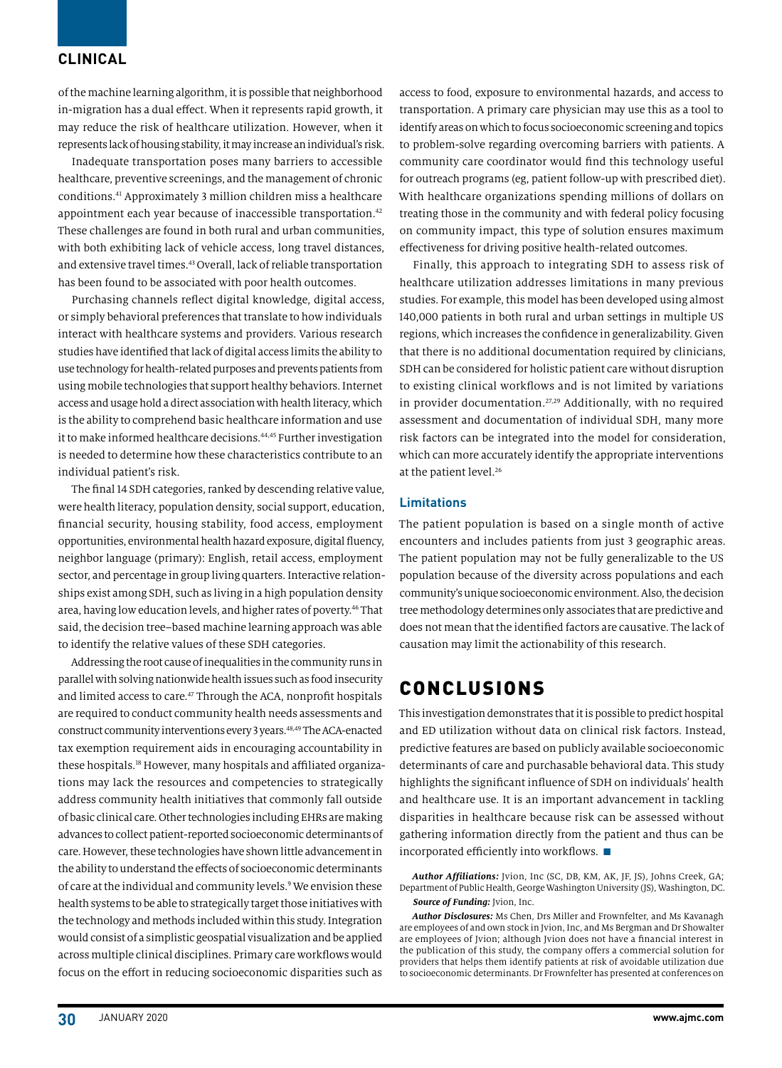### **CLINICAL**

of the machine learning algorithm, it is possible that neighborhood in-migration has a dual effect. When it represents rapid growth, it may reduce the risk of healthcare utilization. However, when it represents lack of housing stability, it may increase an individual's risk.

Inadequate transportation poses many barriers to accessible healthcare, preventive screenings, and the management of chronic conditions.41 Approximately 3 million children miss a healthcare appointment each year because of inaccessible transportation.42 These challenges are found in both rural and urban communities, with both exhibiting lack of vehicle access, long travel distances, and extensive travel times.43 Overall, lack of reliable transportation has been found to be associated with poor health outcomes.

Purchasing channels reflect digital knowledge, digital access, or simply behavioral preferences that translate to how individuals interact with healthcare systems and providers. Various research studies have identified that lack of digital access limits the ability to use technology for health-related purposes and prevents patients from using mobile technologies that support healthy behaviors. Internet access and usage hold a direct association with health literacy, which is the ability to comprehend basic healthcare information and use it to make informed healthcare decisions.<sup>44,45</sup> Further investigation is needed to determine how these characteristics contribute to an individual patient's risk.

The final 14 SDH categories, ranked by descending relative value, were health literacy, population density, social support, education, financial security, housing stability, food access, employment opportunities, environmental health hazard exposure, digital fluency, neighbor language (primary): English, retail access, employment sector, and percentage in group living quarters. Interactive relationships exist among SDH, such as living in a high population density area, having low education levels, and higher rates of poverty.<sup>46</sup> That said, the decision tree–based machine learning approach was able to identify the relative values of these SDH categories.

Addressing the root cause of inequalities in the community runs in parallel with solving nationwide health issues such as food insecurity and limited access to care.<sup>47</sup> Through the ACA, nonprofit hospitals are required to conduct community health needs assessments and construct community interventions every 3 years.<sup>48,49</sup> The ACA-enacted tax exemption requirement aids in encouraging accountability in these hospitals.18 However, many hospitals and affiliated organizations may lack the resources and competencies to strategically address community health initiatives that commonly fall outside of basic clinical care. Other technologies including EHRs are making advances to collect patient-reported socioeconomic determinants of care. However, these technologies have shown little advancement in the ability to understand the effects of socioeconomic determinants of care at the individual and community levels.9 We envision these health systems to be able to strategically target those initiatives with the technology and methods included within this study. Integration would consist of a simplistic geospatial visualization and be applied across multiple clinical disciplines. Primary care workflows would focus on the effort in reducing socioeconomic disparities such as

access to food, exposure to environmental hazards, and access to transportation. A primary care physician may use this as a tool to identify areas on which to focus socioeconomic screening and topics to problem-solve regarding overcoming barriers with patients. A community care coordinator would find this technology useful for outreach programs (eg, patient follow-up with prescribed diet). With healthcare organizations spending millions of dollars on treating those in the community and with federal policy focusing on community impact, this type of solution ensures maximum effectiveness for driving positive health-related outcomes.

Finally, this approach to integrating SDH to assess risk of healthcare utilization addresses limitations in many previous studies. For example, this model has been developed using almost 140,000 patients in both rural and urban settings in multiple US regions, which increases the confidence in generalizability. Given that there is no additional documentation required by clinicians, SDH can be considered for holistic patient care without disruption to existing clinical workflows and is not limited by variations in provider documentation.<sup>27,29</sup> Additionally, with no required assessment and documentation of individual SDH, many more risk factors can be integrated into the model for consideration, which can more accurately identify the appropriate interventions at the patient level.<sup>26</sup>

#### **Limitations**

The patient population is based on a single month of active encounters and includes patients from just 3 geographic areas. The patient population may not be fully generalizable to the US population because of the diversity across populations and each community's unique socioeconomic environment. Also, the decision tree methodology determines only associates that are predictive and does not mean that the identified factors are causative. The lack of causation may limit the actionability of this research.

# CONCLUSIONS

This investigation demonstrates that it is possible to predict hospital and ED utilization without data on clinical risk factors. Instead, predictive features are based on publicly available socioeconomic determinants of care and purchasable behavioral data. This study highlights the significant influence of SDH on individuals' health and healthcare use. It is an important advancement in tackling disparities in healthcare because risk can be assessed without gathering information directly from the patient and thus can be incorporated efficiently into workflows.  $\blacksquare$ 

*Author Affiliations:* Jvion, Inc (SC, DB, KM, AK, JF, JS), Johns Creek, GA; Department of Public Health, George Washington University (JS), Washington, DC. *Source of Funding:* Jvion, Inc.

*Author Disclosures:* Ms Chen, Drs Miller and Frownfelter, and Ms Kavanagh are employees of and own stock in Jvion, Inc, and Ms Bergman and Dr Showalter are employees of Jvion; although Jvion does not have a financial interest in the publication of this study, the company offers a commercial solution for providers that helps them identify patients at risk of avoidable utilization due to socioeconomic determinants. Dr Frownfelter has presented at conferences on